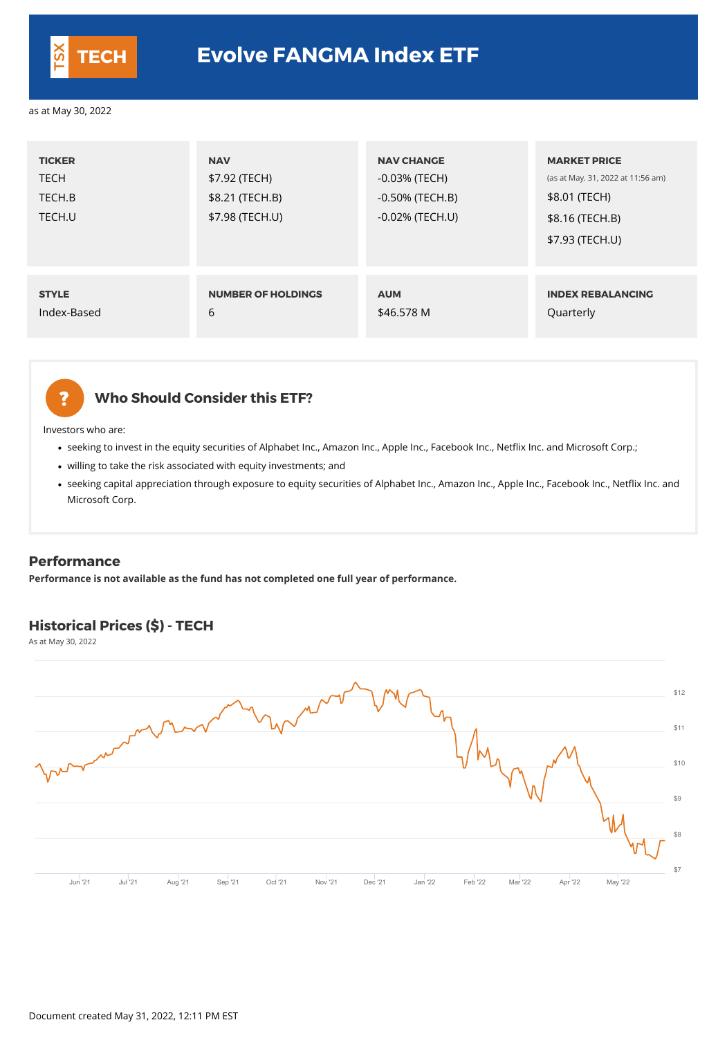| <b>TICKER</b><br><b>TECH</b><br>TECH.B<br>TECH.U | <b>NAV</b><br>\$7.92 (TECH)<br>\$8.21 (TECH.B)<br>\$7.98 (TECH.U) | <b>NAV CHANGE</b><br>-0.03% (TECH)<br>-0.50% (TECH.B)<br>$-0.02\%$ (TECH.U) | <b>MARKET PRICE</b><br>(as at May. 31, 2022 at 11:56 am)<br>\$8.01 (TECH)<br>\$8.16 (TECH.B)<br>\$7.93 (TECH.U) |
|--------------------------------------------------|-------------------------------------------------------------------|-----------------------------------------------------------------------------|-----------------------------------------------------------------------------------------------------------------|
| <b>STYLE</b>                                     | <b>NUMBER OF HOLDINGS</b>                                         | <b>AUM</b>                                                                  | <b>INDEX REBALANCING</b>                                                                                        |
| Index-Based                                      | 6                                                                 | \$46.578 M                                                                  | Quarterly                                                                                                       |



Investors who are:

2

- seeking to invest in the equity securities of Alphabet Inc., Amazon Inc., Apple Inc., Facebook Inc., Netflix Inc. and Microsoft Corp.;
- willing to take the risk associated with equity investments; and
- seeking capital appreciation through exposure to equity securities of Alphabet Inc., Amazon Inc., Apple Inc., Facebook Inc., Netflix Inc. and Microsoft Corp.

#### **Performance**

**Performance is not available as the fund has not completed one full year of performance.**

#### **Historical Prices (\$) - TECH**

As at May 30, 2022



Document created May 31, 2022, 12:11 PM EST



## **TECH Evolve FANGMA Index ETF**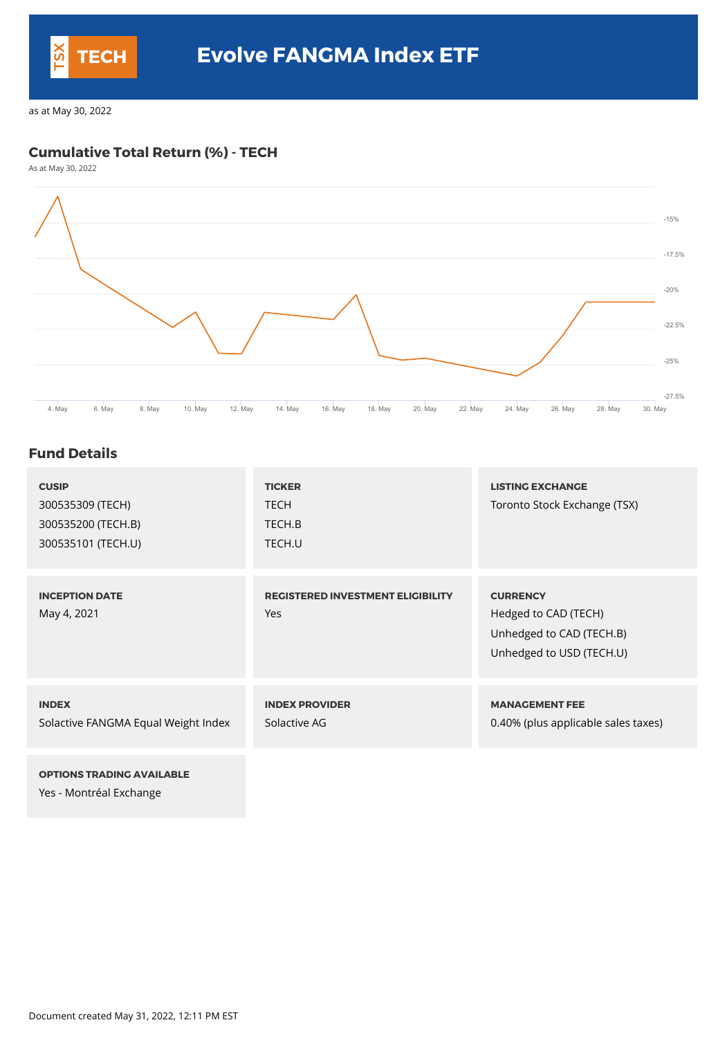### **Cumulative Total Return (%) - TECH**

As at May 30, 2022



#### **Fund Details**

| <b>CUSIP</b><br>300535309 (TECH)<br>300535200 (TECH.B)<br>300535101 (TECH.U) | <b>TICKER</b><br><b>TECH</b><br>TECH.B<br>TECH.U | <b>LISTING EXCHANGE</b><br>Toronto Stock Exchange (TSX)                                         |
|------------------------------------------------------------------------------|--------------------------------------------------|-------------------------------------------------------------------------------------------------|
| <b>INCEPTION DATE</b><br>May 4, 2021                                         | <b>REGISTERED INVESTMENT ELIGIBILITY</b><br>Yes  | <b>CURRENCY</b><br>Hedged to CAD (TECH)<br>Unhedged to CAD (TECH.B)<br>Unhedged to USD (TECH.U) |
| <b>INDEX</b><br>Solactive FANGMA Equal Weight Index                          | <b>INDEX PROVIDER</b><br>Solactive AG            | <b>MANAGEMENT FEE</b><br>0.40% (plus applicable sales taxes)                                    |
| <b>OPTIONS TRADING AVAILABLE</b>                                             |                                                  |                                                                                                 |

**OPTIONS TRADING AVAILABLE**

Yes - Montréal Exchange



# **TECH Evolve FANGMA Index ETF**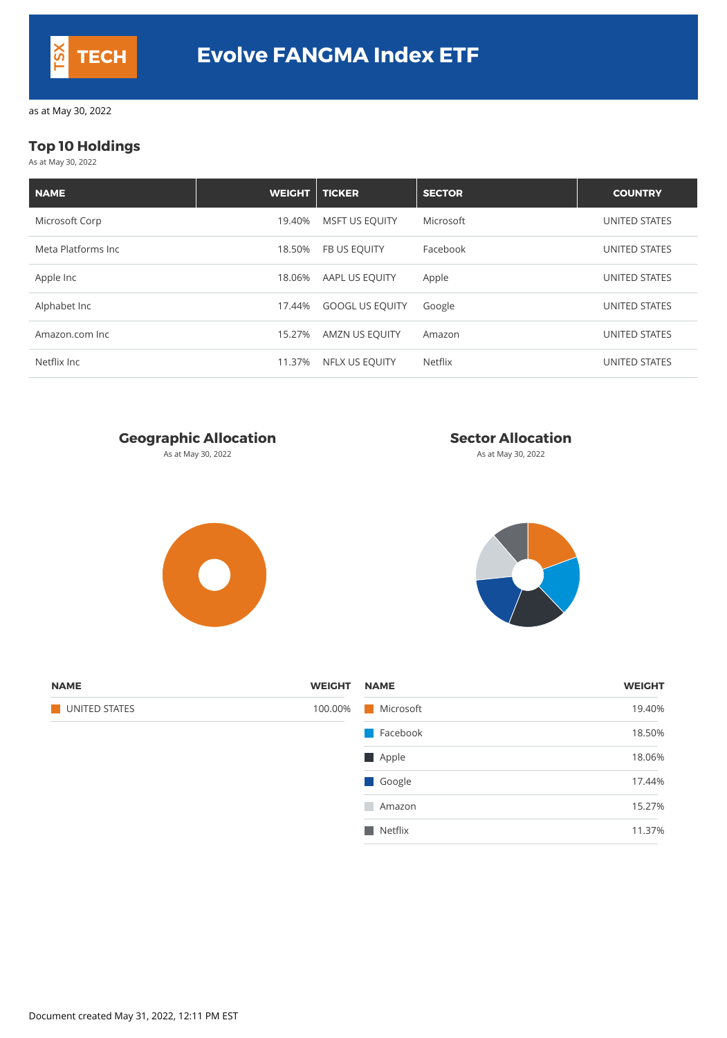## **Top 10 Holdings**

As at May 30, 2022

| <b>NAME</b>        | <b>WEIGHT</b> | <b>TICKER</b>          | <b>SECTOR</b>  | <b>COUNTRY</b>       |
|--------------------|---------------|------------------------|----------------|----------------------|
| Microsoft Corp     | 19.40%        | <b>MSFT US EQUITY</b>  | Microsoft      | UNITED STATES        |
| Meta Platforms Inc | 18.50%        | <b>FB US EQUITY</b>    | Facebook       | <b>UNITED STATES</b> |
| Apple Inc          | 18.06%        | AAPL US EQUITY         | Apple          | UNITED STATES        |
| Alphabet Inc       | 17.44%        | <b>GOOGL US EQUITY</b> | Google         | UNITED STATES        |
| Amazon.com Inc     | 15.27%        | <b>AMZN US EQUITY</b>  | Amazon         | <b>UNITED STATES</b> |
| Netflix Inc        | 11.37%        | <b>NFLX US EQUITY</b>  | <b>Netflix</b> | <b>UNITED STATES</b> |



As at May 30, 2022 **As at May 30, 2022** As at May 30, 2022



| <b>NAME</b>   | <b>WEIGHT</b> | <b>NAME</b>       | <b>WEIGHT</b> |
|---------------|---------------|-------------------|---------------|
| UNITED STATES |               | 100.00% Microsoft | 19.40%        |

| Facebook<br>$\mathbb{R}^n$ | 18.50% |
|----------------------------|--------|
| Apple<br>ш                 | 18.06% |
| Google<br>ka k             | 17.44% |
| Amazon                     | 15.27% |
| <b>Netflix</b>             | 11.37% |